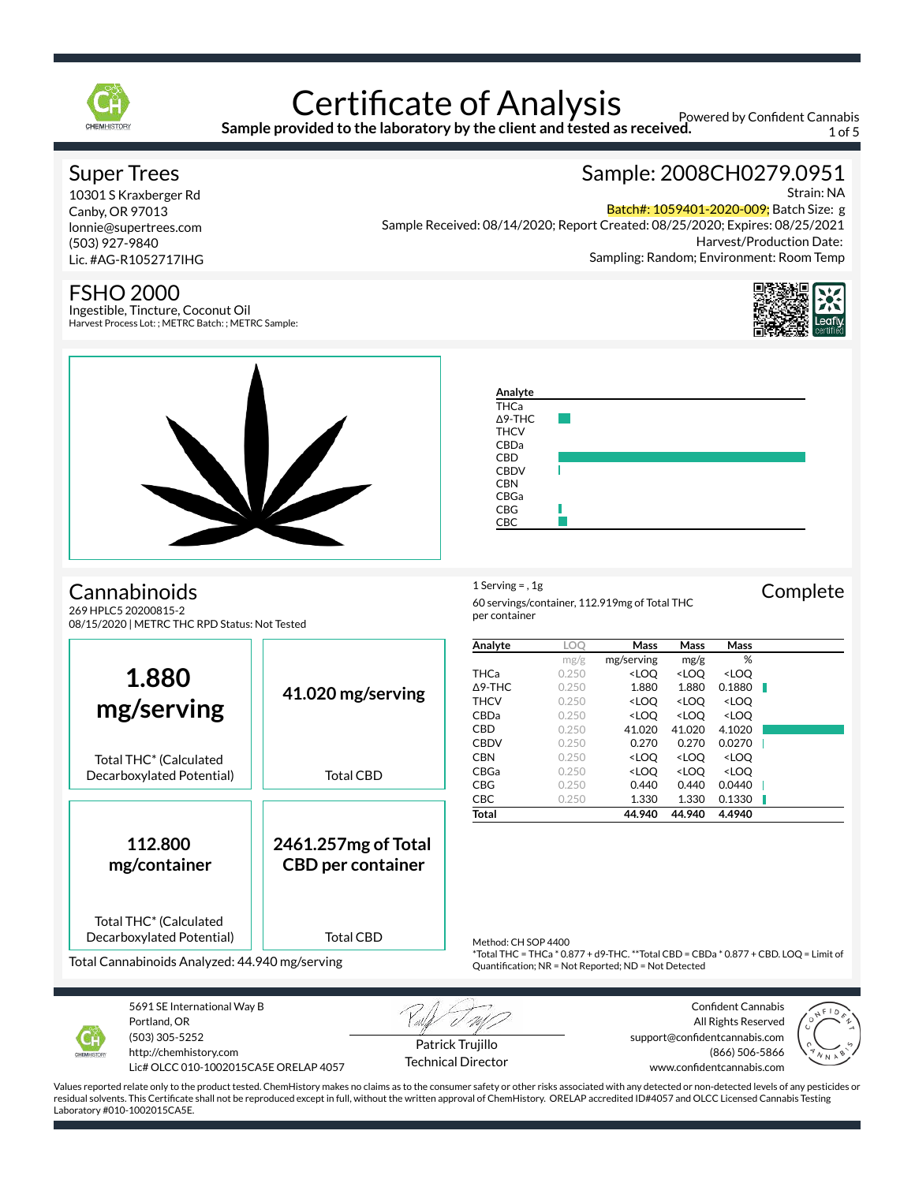

# **Certificate of Analysis**

**Sample provided to the laboratory by the client and tested as received.**

**Analyte** THCa Δ9-THC **THCV** CBDa CBD **CBDV CBN** CBGa CBG CBC

in a

Powered by Confident Cannabis 1 of 5

### Super Trees

10301 S Kraxberger Rd Canby, OR 97013 lonnie@supertrees.com (503) 927-9840 Lic. #AG-R1052717IHG

### FSHO 2000

Ingestible, Tincture, Coconut Oil Harvest Process Lot: ; METRC Batch: ; METRC Sample:

## Sample: 2008CH0279.0951

Strain: NA

Batch#: 1059401-2020-009; Batch Size: g Sample Received: 08/14/2020; Report Created: 08/25/2020; Expires: 08/25/2021

Harvest/Production Date: Sampling: Random; Environment: Room Temp





Cannabinoids

269 HPLC5 20200815-2 08/15/2020 | METRC THC RPD Status: Not Tested



Decarboxylated Potential)

Total Cannabinoids Analyzed: 44.940 mg/serving



5691 SE International Way B Portland, OR (503) 305-5252

http://chemhistory.com Lic# OLCC 010-1002015CA5E ORELAP 4057

Patrick Trujillo Technical Director

Confident Cannabis All Rights Reserved support@confidentcannabis.com (866) 506-5866 www.confidentcannabis.com

 $*$ Total THC = THCa $*$  0.877 + d9-THC.  $**$ Total CBD = CBDa $*$  0.877 + CBD. LOQ = Limit of

Quantification; NR = Not Reported; ND = Not Detected

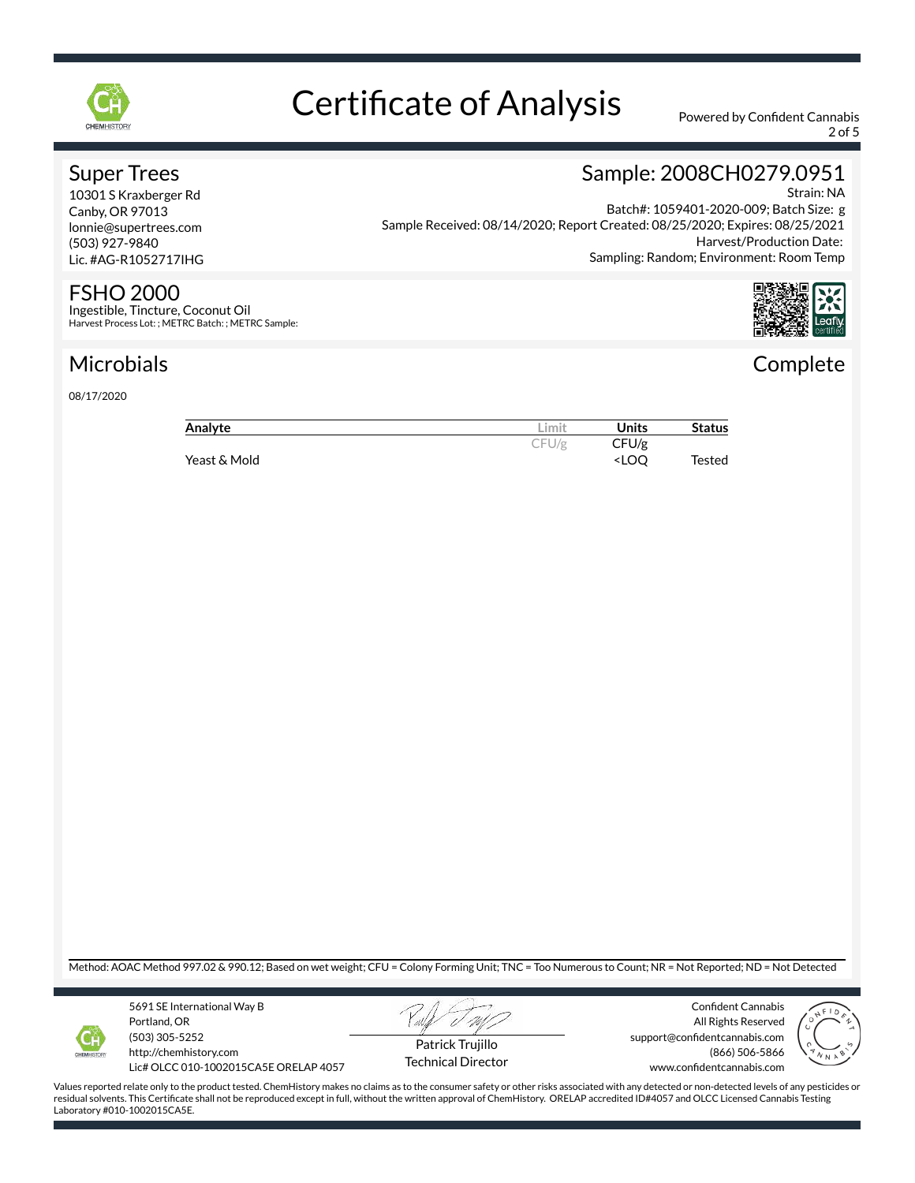

2 of 5

### Super Trees

10301 S Kraxberger Rd Canby, OR 97013 lonnie@supertrees.com (503) 927-9840 Lic. #AG-R1052717IHG

### FSHO 2000

Ingestible, Tincture, Coconut Oil Harvest Process Lot: ; METRC Batch: ; METRC Sample:

### Microbials

08/17/2020

#### Sample: 2008CH0279.0951 Strain: NA Batch#: 1059401-2020-009; Batch Size: g

Sample Received: 08/14/2020; Report Created: 08/25/2020; Expires: 08/25/2021 Harvest/Production Date: Sampling: Random; Environment: Room Temp



## **Complete**

| Analyte      | Limit | Units                              | <b>Status</b> |
|--------------|-------|------------------------------------|---------------|
|              | CFU/g | CFU/g                              |               |
| Yeast & Mold |       | <loo< td=""><td>Tested</td></loo<> | Tested        |

Method: AOAC Method 997.02 & 990.12; Based on wet weight; CFU = Colony Forming Unit; TNC = Too Numerous to Count; NR = Not Reported; ND = Not Detected



5691 SE International Way B Portland, OR (503) 305-5252 http://chemhistory.com

Lic# OLCC 010-1002015CA5E ORELAP 4057



Technical Director

Confident Cannabis All Rights Reserved support@confidentcannabis.com (866) 506-5866 www.confidentcannabis.com

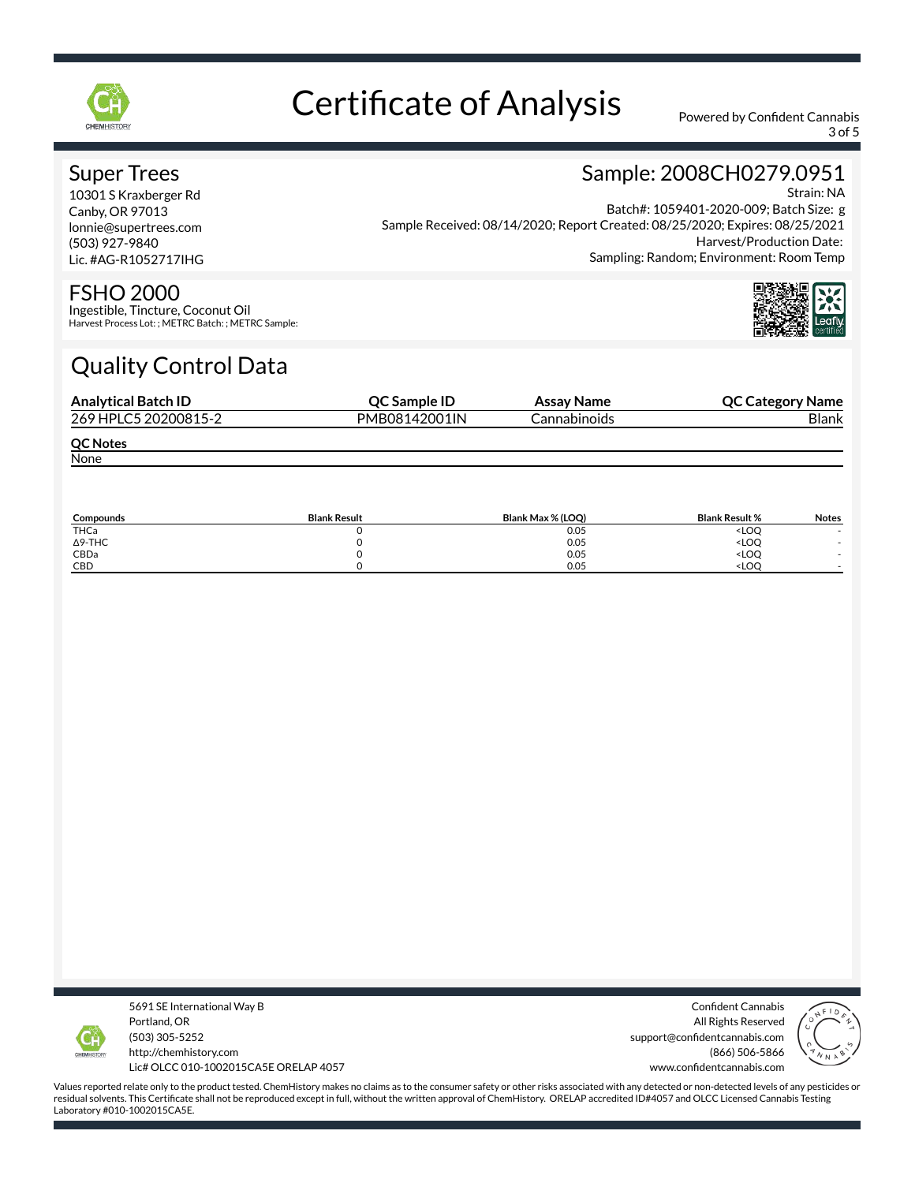

3 of 5

Sample: 2008CH0279.0951

### Super Trees

10301 S Kraxberger Rd Canby, OR 97013 lonnie@supertrees.com (503) 927-9840 Lic. #AG-R1052717IHG

#### Strain: NA Batch#: 1059401-2020-009; Batch Size: g Sample Received: 08/14/2020; Report Created: 08/25/2020; Expires: 08/25/2021 Harvest/Production Date: Sampling: Random; Environment: Room Temp



#### FSHO 2000

Ingestible, Tincture, Coconut Oil Harvest Process Lot: ; METRC Batch: ; METRC Sample:

## Quality Control Data

| <b>Analytical Batch ID</b> | QC Sample ID  | Assay Name   | <b>QC Category Name</b> |
|----------------------------|---------------|--------------|-------------------------|
| 269 HPLC5 20200815-2       | PMB08142001IN | Cannabinoids | Blank                   |
| <b>QC Notes</b>            |               |              |                         |
| None                       |               |              |                         |

| Compounds      | <b>Blank Result</b> | Blank Max % (LOO) | <b>Blank Result %</b>        | <b>Notes</b> |
|----------------|---------------------|-------------------|------------------------------|--------------|
| THCa           |                     | 0.05              | <loo< td=""><td></td></loo<> |              |
| $\Delta$ 9-THC |                     | 0.05              | <loo< td=""><td></td></loo<> |              |
| CBDa           |                     | 0.05              | <loo< td=""><td></td></loo<> |              |
| CBD            |                     | 0.05              | <loc< td=""><td></td></loc<> |              |



5691 SE International Way B Portland, OR (503) 305-5252 http://chemhistory.com Lic# OLCC 010-1002015CA5E ORELAP 4057

Confident Cannabis All Rights Reserved support@confidentcannabis.com (866) 506-5866 www.confidentcannabis.com

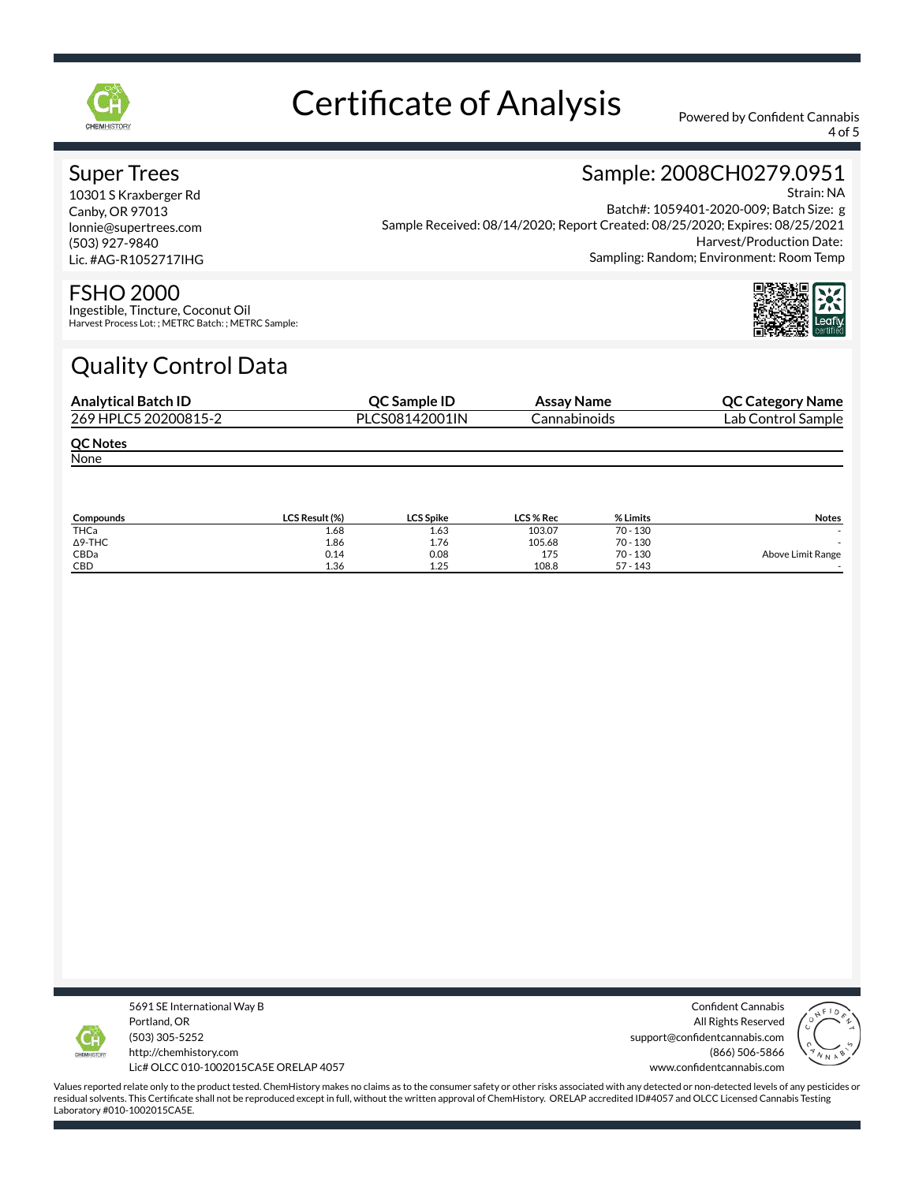

4 of 5

Sample: 2008CH0279.0951

### Super Trees

10301 S Kraxberger Rd Canby, OR 97013 lonnie@supertrees.com (503) 927-9840 Lic. #AG-R1052717IHG

#### Strain: NA Batch#: 1059401-2020-009; Batch Size: g Sample Received: 08/14/2020; Report Created: 08/25/2020; Expires: 08/25/2021 Harvest/Production Date: Sampling: Random; Environment: Room Temp



#### FSHO 2000

Ingestible, Tincture, Coconut Oil Harvest Process Lot: ; METRC Batch: ; METRC Sample:

## Quality Control Data

| <b>Analytical Batch ID</b> | QC Sample ID   | Assay Name   | <b>QC Category Name</b> |
|----------------------------|----------------|--------------|-------------------------|
| 269 HPLC5 20200815-2       | PLCS08142001IN | Cannabinoids | Lab Control Sample      |
| <b>QC Notes</b>            |                |              |                         |
| None                       |                |              |                         |

| Compounds      | LCS Result (%) | <b>LCS Spike</b> | LCS % Rec | % Limits   | <b>Notes</b>      |
|----------------|----------------|------------------|-----------|------------|-------------------|
| THCa           | 1.68           | 1.63             | 103.07    | $70 - 130$ |                   |
| $\Delta$ 9-THC | 1.86           | 1.76             | 105.68    | $70 - 130$ |                   |
| CBDa           | 0.14           | 0.08             | 175       | $70 - 130$ | Above Limit Range |
| CBD            | 1.36           | 1.25             | 108.8     | $57 - 143$ |                   |



5691 SE International Way B Portland, OR (503) 305-5252 http://chemhistory.com Lic# OLCC 010-1002015CA5E ORELAP 4057

Confident Cannabis All Rights Reserved support@confidentcannabis.com (866) 506-5866 www.confidentcannabis.com